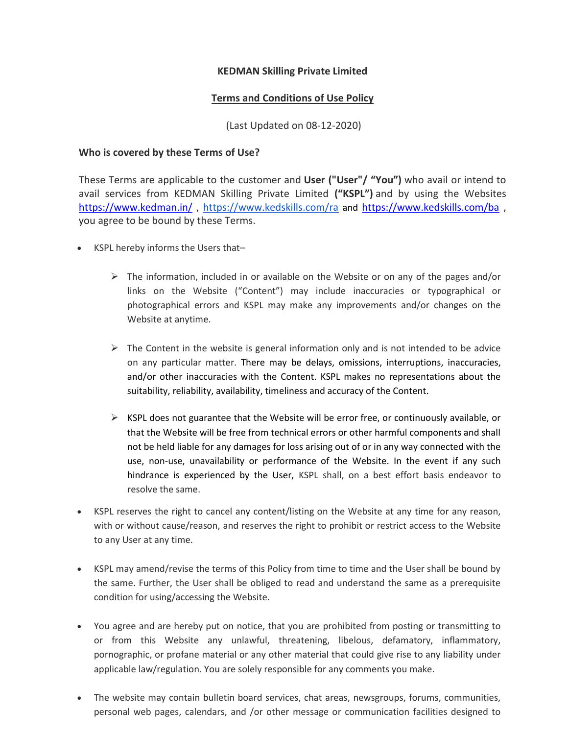## KEDMAN Skilling Private Limited

## Terms and Conditions of Use Policy

(Last Updated on 08-12-2020)

## Who is covered by these Terms of Use?

These Terms are applicable to the customer and User ("User"/ "You") who avail or intend to avail services from KEDMAN Skilling Private Limited ("KSPL") and by using the Websites https://www.kedman.in/, https://www.kedskills.com/ra and https://www.kedskills.com/ba, you agree to be bound by these Terms.

- KSPL hereby informs the Users that-
	- $\triangleright$  The information, included in or available on the Website or on any of the pages and/or links on the Website ("Content") may include inaccuracies or typographical or photographical errors and KSPL may make any improvements and/or changes on the Website at anytime.
	- $\triangleright$  The Content in the website is general information only and is not intended to be advice on any particular matter. There may be delays, omissions, interruptions, inaccuracies, and/or other inaccuracies with the Content. KSPL makes no representations about the suitability, reliability, availability, timeliness and accuracy of the Content.
	- $\triangleright$  KSPL does not guarantee that the Website will be error free, or continuously available, or that the Website will be free from technical errors or other harmful components and shall not be held liable for any damages for loss arising out of or in any way connected with the use, non-use, unavailability or performance of the Website. In the event if any such hindrance is experienced by the User, KSPL shall, on a best effort basis endeavor to resolve the same.
- KSPL reserves the right to cancel any content/listing on the Website at any time for any reason, with or without cause/reason, and reserves the right to prohibit or restrict access to the Website to any User at any time.
- KSPL may amend/revise the terms of this Policy from time to time and the User shall be bound by the same. Further, the User shall be obliged to read and understand the same as a prerequisite condition for using/accessing the Website.
- You agree and are hereby put on notice, that you are prohibited from posting or transmitting to or from this Website any unlawful, threatening, libelous, defamatory, inflammatory, pornographic, or profane material or any other material that could give rise to any liability under applicable law/regulation. You are solely responsible for any comments you make.
- The website may contain bulletin board services, chat areas, newsgroups, forums, communities, personal web pages, calendars, and /or other message or communication facilities designed to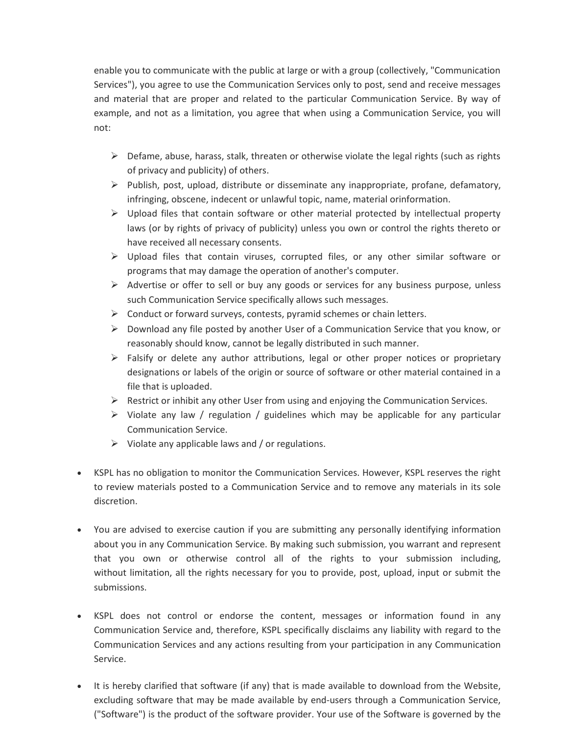enable you to communicate with the public at large or with a group (collectively, "Communication Services"), you agree to use the Communication Services only to post, send and receive messages and material that are proper and related to the particular Communication Service. By way of example, and not as a limitation, you agree that when using a Communication Service, you will not:

- $\triangleright$  Defame, abuse, harass, stalk, threaten or otherwise violate the legal rights (such as rights of privacy and publicity) of others.
- $\triangleright$  Publish, post, upload, distribute or disseminate any inappropriate, profane, defamatory, infringing, obscene, indecent or unlawful topic, name, material orinformation.
- $\triangleright$  Upload files that contain software or other material protected by intellectual property laws (or by rights of privacy of publicity) unless you own or control the rights thereto or have received all necessary consents.
- $\triangleright$  Upload files that contain viruses, corrupted files, or any other similar software or programs that may damage the operation of another's computer.
- $\triangleright$  Advertise or offer to sell or buy any goods or services for any business purpose, unless such Communication Service specifically allows such messages.
- $\triangleright$  Conduct or forward surveys, contests, pyramid schemes or chain letters.
- $\triangleright$  Download any file posted by another User of a Communication Service that you know, or reasonably should know, cannot be legally distributed in such manner.
- $\triangleright$  Falsify or delete any author attributions, legal or other proper notices or proprietary designations or labels of the origin or source of software or other material contained in a file that is uploaded.
- $\triangleright$  Restrict or inhibit any other User from using and enjoying the Communication Services.
- $\triangleright$  Violate any law / regulation / guidelines which may be applicable for any particular Communication Service.
- $\triangleright$  Violate any applicable laws and / or regulations.
- KSPL has no obligation to monitor the Communication Services. However, KSPL reserves the right to review materials posted to a Communication Service and to remove any materials in its sole discretion.
- You are advised to exercise caution if you are submitting any personally identifying information about you in any Communication Service. By making such submission, you warrant and represent that you own or otherwise control all of the rights to your submission including, without limitation, all the rights necessary for you to provide, post, upload, input or submit the submissions.
- KSPL does not control or endorse the content, messages or information found in any Communication Service and, therefore, KSPL specifically disclaims any liability with regard to the Communication Services and any actions resulting from your participation in any Communication Service.
- It is hereby clarified that software (if any) that is made available to download from the Website, excluding software that may be made available by end-users through a Communication Service, ("Software") is the product of the software provider. Your use of the Software is governed by the